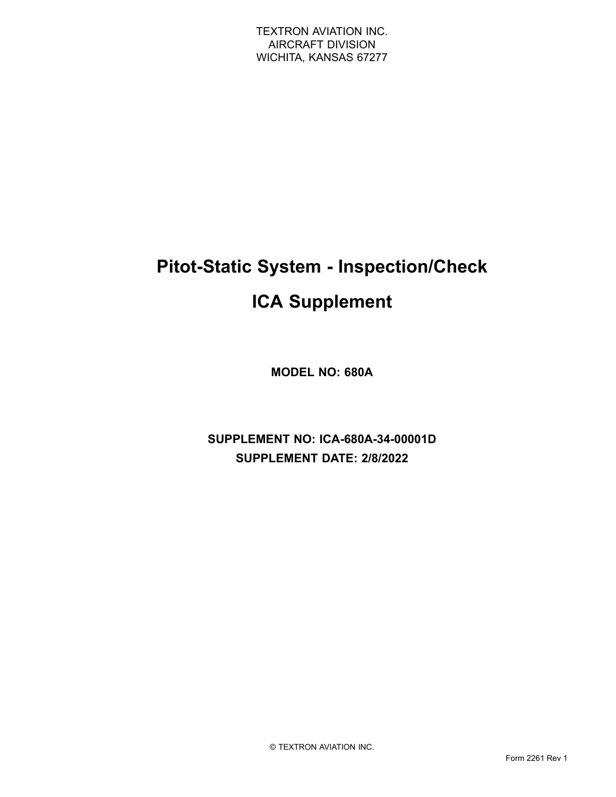# **Pitot-Static System - Inspection/Check**

# **ICA Supplement**

**MODEL NO: 680A**

**SUPPLEMENT NO: ICA-680A-34-00001D SUPPLEMENT DATE: 2/8/2022**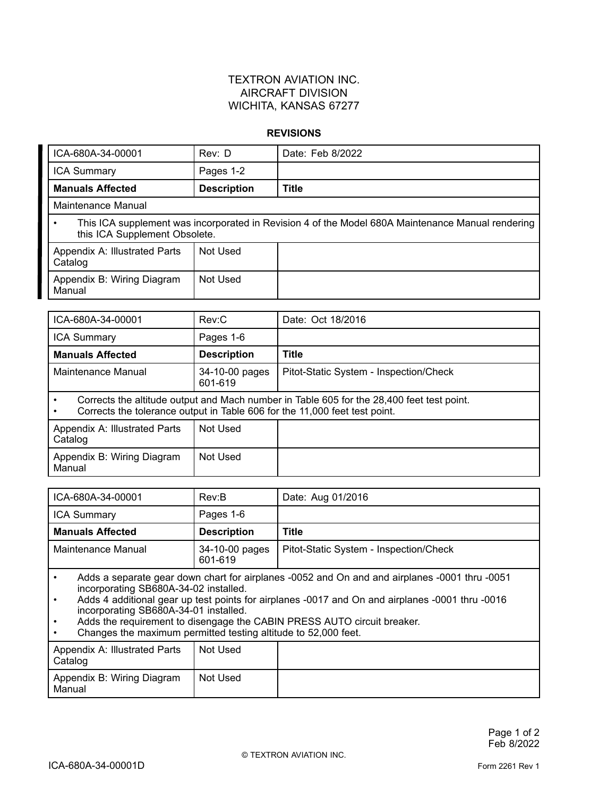#### **REVISIONS**

| ICA-680A-34-00001                        | Rev: D             | Date: Feb 8/2022                                                                                  |
|------------------------------------------|--------------------|---------------------------------------------------------------------------------------------------|
| <b>ICA Summary</b>                       | Pages 1-2          |                                                                                                   |
| <b>Manuals Affected</b>                  | <b>Description</b> | <b>Title</b>                                                                                      |
| Maintenance Manual                       |                    |                                                                                                   |
| this ICA Supplement Obsolete.            |                    | This ICA supplement was incorporated in Revision 4 of the Model 680A Maintenance Manual rendering |
| Appendix A: Illustrated Parts<br>Catalog | Not Used           |                                                                                                   |
| Appendix B: Wiring Diagram<br>Manual     | Not Used           |                                                                                                   |
|                                          |                    |                                                                                                   |
| ICA-680A-34-00001                        | Rev:C              | Date: Oct 18/2016                                                                                 |
|                                          |                    |                                                                                                   |

| TUA-000A-04-0000 T                       | REV.U                     | Dale. Oct 10/2010                                                                                                                                                       |
|------------------------------------------|---------------------------|-------------------------------------------------------------------------------------------------------------------------------------------------------------------------|
| <b>ICA Summary</b>                       | Pages 1-6                 |                                                                                                                                                                         |
| <b>Manuals Affected</b>                  | <b>Description</b>        | <b>Title</b>                                                                                                                                                            |
| Maintenance Manual                       | 34-10-00 pages<br>601-619 | Pitot-Static System - Inspection/Check                                                                                                                                  |
|                                          |                           | Corrects the altitude output and Mach number in Table 605 for the 28,400 feet test point.<br>Corrects the tolerance output in Table 606 for the 11,000 feet test point. |
| Appendix A: Illustrated Parts<br>Catalog | Not Used                  |                                                                                                                                                                         |
| Appendix B: Wiring Diagram<br>Manual     | Not Used                  |                                                                                                                                                                         |

| ICA-680A-34-00001                                                                             | Rev:B                     | Date: Aug 01/2016                      |
|-----------------------------------------------------------------------------------------------|---------------------------|----------------------------------------|
| <b>ICA Summary</b>                                                                            | Pages 1-6                 |                                        |
| <b>Manuals Affected</b>                                                                       | <b>Description</b>        | <b>Title</b>                           |
| Maintenance Manual                                                                            | 34-10-00 pages<br>601-619 | Pitot-Static System - Inspection/Check |
| Adds a separate gear down chart for airplanes -0052 and On and and airplanes -0001 thru -0051 |                           |                                        |

 Adds <sup>a</sup> separate gear down chart for airplanes -0052 and On and and airplanes -0001 thru -0051 incorporating SB680A-34-02 installed.

• Adds 4 additional gear up test points for airplanes -0017 and On and airplanes -0001 thru -0016 incorporating SB680A-34-01 installed.

•Adds the requirement to disengage the CABIN PRESS AUTO circuit breaker.

•Changes the maximum permitted testing altitude to 52,000 feet.

| Appendix A: Illustrated Parts<br>Catalog | Not Used |  |
|------------------------------------------|----------|--|
| Appendix B: Wiring Diagram<br>Manual     | Not Used |  |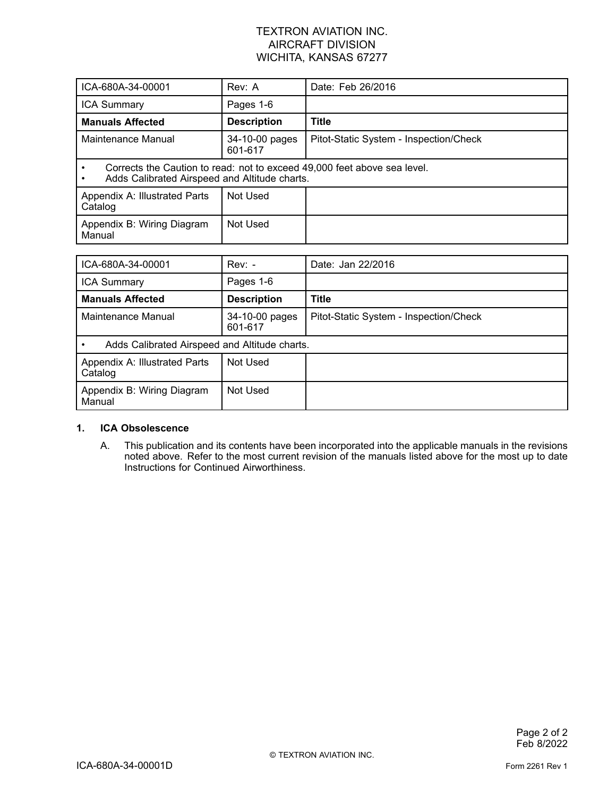| ICA-680A-34-00001                                                                                                         | Rev: A                    | Date: Feb 26/2016                      |
|---------------------------------------------------------------------------------------------------------------------------|---------------------------|----------------------------------------|
| <b>ICA Summary</b>                                                                                                        | Pages 1-6                 |                                        |
| <b>Manuals Affected</b>                                                                                                   | <b>Description</b>        | <b>Title</b>                           |
| Maintenance Manual                                                                                                        | 34-10-00 pages<br>601-617 | Pitot-Static System - Inspection/Check |
| Corrects the Caution to read: not to exceed 49,000 feet above sea level.<br>Adds Calibrated Airspeed and Altitude charts. |                           |                                        |
| Appendix A: Illustrated Parts<br>Catalog                                                                                  | Not Used                  |                                        |
| Appendix B: Wiring Diagram<br>Manual                                                                                      | Not Used                  |                                        |

| ICA-680A-34-00001                             | $Rev: -$                  | Date: Jan 22/2016                      |
|-----------------------------------------------|---------------------------|----------------------------------------|
| <b>ICA Summary</b>                            | Pages 1-6                 |                                        |
| <b>Manuals Affected</b>                       | <b>Description</b>        | <b>Title</b>                           |
| Maintenance Manual                            | 34-10-00 pages<br>601-617 | Pitot-Static System - Inspection/Check |
| Adds Calibrated Airspeed and Altitude charts. |                           |                                        |
| Appendix A: Illustrated Parts<br>Catalog      | Not Used                  |                                        |
| Appendix B: Wiring Diagram<br>Manual          | Not Used                  |                                        |

#### **1. ICA Obsolescence**

A. This publication and its contents have been incorporated into the applicable manuals in the revisions noted above. Refer to the most current revision of the manuals listed above for the most up to date Instructions for Continued Airworthiness.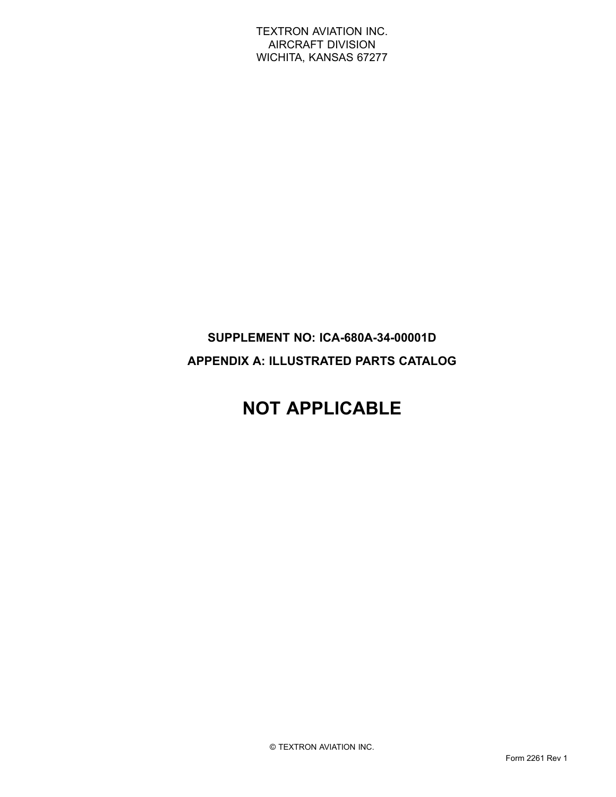### **SUPPLEMENT NO: ICA-680A-34-00001D APPENDIX A: ILLUSTRATED PARTS CATALOG**

# **NOT APPLICABLE**